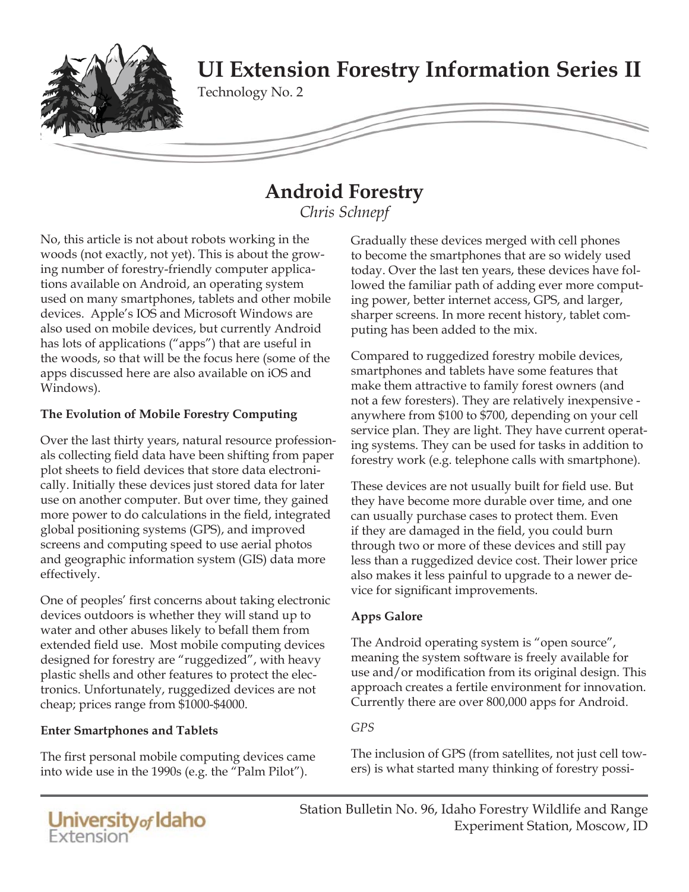

# **Android Forestry**

*Chris Schnepf*

No, this article is not about robots working in the woods (not exactly, not yet). This is about the growing number of forestry-friendly computer applications available on Android, an operating system used on many smartphones, tablets and other mobile devices. Apple's IOS and Microsoft Windows are also used on mobile devices, but currently Android has lots of applications ("apps") that are useful in the woods, so that will be the focus here (some of the apps discussed here are also available on iOS and Windows).

# **The Evolution of Mobile Forestry Computing**

Over the last thirty years, natural resource professionals collecting field data have been shifting from paper plot sheets to field devices that store data electronically. Initially these devices just stored data for later use on another computer. But over time, they gained more power to do calculations in the field, integrated global positioning systems (GPS), and improved screens and computing speed to use aerial photos and geographic information system (GIS) data more effectively.

One of peoples' first concerns about taking electronic devices outdoors is whether they will stand up to water and other abuses likely to befall them from extended field use. Most mobile computing devices designed for forestry are "ruggedized", with heavy plastic shells and other features to protect the electronics. Unfortunately, ruggedized devices are not cheap; prices range from \$1000-\$4000.

# **Enter Smartphones and Tablets**

The first personal mobile computing devices came into wide use in the 1990s (e.g. the "Palm Pilot").

Gradually these devices merged with cell phones to become the smartphones that are so widely used today. Over the last ten years, these devices have followed the familiar path of adding ever more computing power, better internet access, GPS, and larger, sharper screens. In more recent history, tablet computing has been added to the mix.

Compared to ruggedized forestry mobile devices, smartphones and tablets have some features that make them attractive to family forest owners (and not a few foresters). They are relatively inexpensive anywhere from \$100 to \$700, depending on your cell service plan. They are light. They have current operating systems. They can be used for tasks in addition to forestry work (e.g. telephone calls with smartphone).

These devices are not usually built for field use. But they have become more durable over time, and one can usually purchase cases to protect them. Even if they are damaged in the field, you could burn through two or more of these devices and still pay less than a ruggedized device cost. Their lower price also makes it less painful to upgrade to a newer device for significant improvements.

# **Apps Galore**

The Android operating system is "open source", meaning the system software is freely available for use and/or modification from its original design. This approach creates a fertile environment for innovation. Currently there are over 800,000 apps for Android.

# *GPS*

The inclusion of GPS (from satellites, not just cell towers) is what started many thinking of forestry possi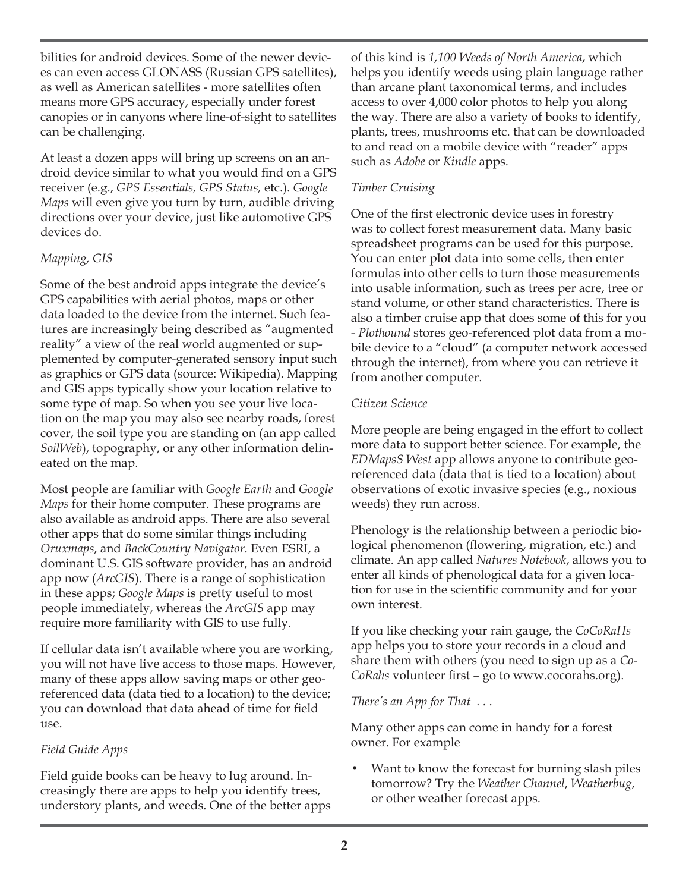bilities for android devices. Some of the newer devices can even access GLONASS (Russian GPS satellites), as well as American satellites - more satellites often means more GPS accuracy, especially under forest canopies or in canyons where line-of-sight to satellites can be challenging.

At least a dozen apps will bring up screens on an android device similar to what you would find on a GPS receiver (e.g., *GPS Essentials, GPS Status,* etc.). *Google Maps* will even give you turn by turn, audible driving directions over your device, just like automotive GPS devices do.

# *Mapping, GIS*

Some of the best android apps integrate the device's GPS capabilities with aerial photos, maps or other data loaded to the device from the internet. Such features are increasingly being described as "augmented reality" a view of the real world augmented or supplemented by computer-generated sensory input such as graphics or GPS data (source: Wikipedia). Mapping and GIS apps typically show your location relative to some type of map. So when you see your live location on the map you may also see nearby roads, forest cover, the soil type you are standing on (an app called *SoilWeb*), topography, or any other information delineated on the map.

Most people are familiar with *Google Earth* and *Google Maps* for their home computer. These programs are also available as android apps. There are also several other apps that do some similar things including *Oruxmaps*, and *BackCountry Navigator*. Even ESRI, a dominant U.S. GIS software provider, has an android app now (*ArcGIS*). There is a range of sophistication in these apps; *Google Maps* is pretty useful to most people immediately, whereas the *ArcGIS* app may require more familiarity with GIS to use fully.

If cellular data isn't available where you are working, you will not have live access to those maps. However, many of these apps allow saving maps or other georeferenced data (data tied to a location) to the device; you can download that data ahead of time for field use.

# *Field Guide Apps*

Field guide books can be heavy to lug around. Increasingly there are apps to help you identify trees, understory plants, and weeds. One of the better apps of this kind is *1,100 Weeds of North America*, which helps you identify weeds using plain language rather than arcane plant taxonomical terms, and includes access to over 4,000 color photos to help you along the way. There are also a variety of books to identify, plants, trees, mushrooms etc. that can be downloaded to and read on a mobile device with "reader" apps such as *Adobe* or *Kindle* apps.

# *Timber Cruising*

One of the first electronic device uses in forestry was to collect forest measurement data. Many basic spreadsheet programs can be used for this purpose. You can enter plot data into some cells, then enter formulas into other cells to turn those measurements into usable information, such as trees per acre, tree or stand volume, or other stand characteristics. There is also a timber cruise app that does some of this for you - *Plothound* stores geo-referenced plot data from a mobile device to a "cloud" (a computer network accessed through the internet), from where you can retrieve it from another computer.

## *Citizen Science*

More people are being engaged in the effort to collect more data to support better science. For example, the *EDMapsS West* app allows anyone to contribute georeferenced data (data that is tied to a location) about observations of exotic invasive species (e.g., noxious weeds) they run across.

Phenology is the relationship between a periodic biological phenomenon (flowering, migration, etc.) and climate. An app called *Natures Notebook*, allows you to enter all kinds of phenological data for a given location for use in the scientific community and for your own interest.

If you like checking your rain gauge, the *CoCoRaHs* app helps you to store your records in a cloud and share them with others (you need to sign up as a *Co-CoRahs* volunteer first - go to www.cocorahs.org).

# *There's an App for That . .* .

Many other apps can come in handy for a forest owner. For example

• Want to know the forecast for burning slash piles tomorrow? Try the *Weather Channel*, *Weatherbug*, or other weather forecast apps.